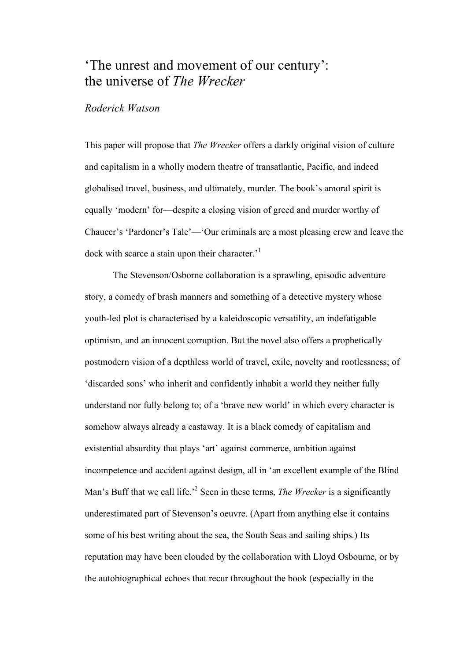# 'The unrest and movement of our century': the universe of *The Wrecker*

## *Roderick Watson*

This paper will propose that *The Wrecker* offers a darkly original vision of culture and capitalism in a wholly modern theatre of transatlantic, Pacific, and indeed globalised travel, business, and ultimately, murder. The book's amoral spirit is equally 'modern' for—despite a closing vision of greed and murder worthy of Chaucer's 'Pardoner's Tale'—'Our criminals are a most pleasing crew and leave the dock with scarce a stain upon their character.<sup>1</sup>

The Stevenson/Osborne collaboration is a sprawling, episodic adventure story, a comedy of brash manners and something of a detective mystery whose youth-led plot is characterised by a kaleidoscopic versatility, an indefatigable optimism, and an innocent corruption. But the novel also offers a prophetically postmodern vision of a depthless world of travel, exile, novelty and rootlessness; of 'discarded sons' who inherit and confidently inhabit a world they neither fully understand nor fully belong to; of a 'brave new world' in which every character is somehow always already a castaway. It is a black comedy of capitalism and existential absurdity that plays 'art' against commerce, ambition against incompetence and accident against design, all in 'an excellent example of the Blind Man's Buff that we call life.' <sup>2</sup> Seen in these terms, *The Wrecker* is a significantly underestimated part of Stevenson's oeuvre. (Apart from anything else it contains some of his best writing about the sea, the South Seas and sailing ships.) Its reputation may have been clouded by the collaboration with Lloyd Osbourne, or by the autobiographical echoes that recur throughout the book (especially in the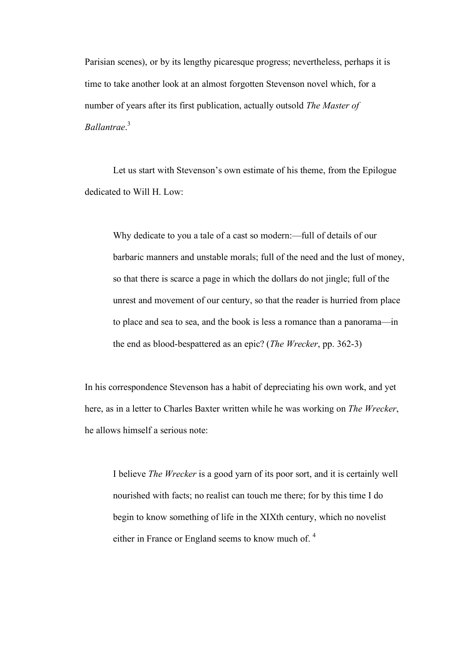Parisian scenes), or by its lengthy picaresque progress; nevertheless, perhaps it is time to take another look at an almost forgotten Stevenson novel which, for a number of years after its first publication, actually outsold *The Master of Ballantrae*. 3

Let us start with Stevenson's own estimate of his theme, from the Epilogue dedicated to Will H. Low:

Why dedicate to you a tale of a cast so modern:—full of details of our barbaric manners and unstable morals; full of the need and the lust of money, so that there is scarce a page in which the dollars do not jingle; full of the unrest and movement of our century, so that the reader is hurried from place to place and sea to sea, and the book is less a romance than a panorama—in the end as blood-bespattered as an epic? (*The Wrecker*, pp. 362-3)

In his correspondence Stevenson has a habit of depreciating his own work, and yet here, as in a letter to Charles Baxter written while he was working on *The Wrecker*, he allows himself a serious note:

I believe *The Wrecker* is a good yarn of its poor sort, and it is certainly well nourished with facts; no realist can touch me there; for by this time I do begin to know something of life in the XIXth century, which no novelist either in France or England seems to know much of.<sup>4</sup>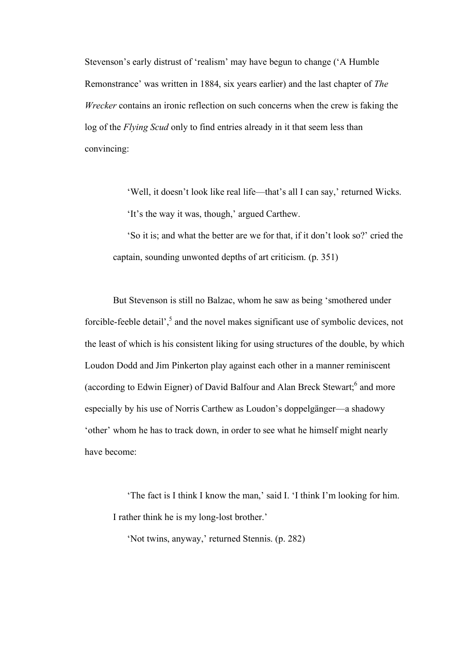Stevenson's early distrust of 'realism' may have begun to change ('A Humble Remonstrance' was written in 1884, six years earlier) and the last chapter of *The Wrecker* contains an ironic reflection on such concerns when the crew is faking the log of the *Flying Scud* only to find entries already in it that seem less than convincing:

> 'Well, it doesn't look like real life—that's all I can say,' returned Wicks. 'It's the way it was, though,' argued Carthew.

'So it is; and what the better are we for that, if it don't look so?' cried the captain, sounding unwonted depths of art criticism. (p. 351)

But Stevenson is still no Balzac, whom he saw as being 'smothered under forcible-feeble detail',<sup>5</sup> and the novel makes significant use of symbolic devices, not the least of which is his consistent liking for using structures of the double, by which Loudon Dodd and Jim Pinkerton play against each other in a manner reminiscent (according to Edwin Eigner) of David Balfour and Alan Breck Stewart;<sup>6</sup> and more especially by his use of Norris Carthew as Loudon's doppelgänger—a shadowy 'other' whom he has to track down, in order to see what he himself might nearly have become:

'The fact is I think I know the man,' said I. 'I think I'm looking for him. I rather think he is my long-lost brother.'

'Not twins, anyway,' returned Stennis. (p. 282)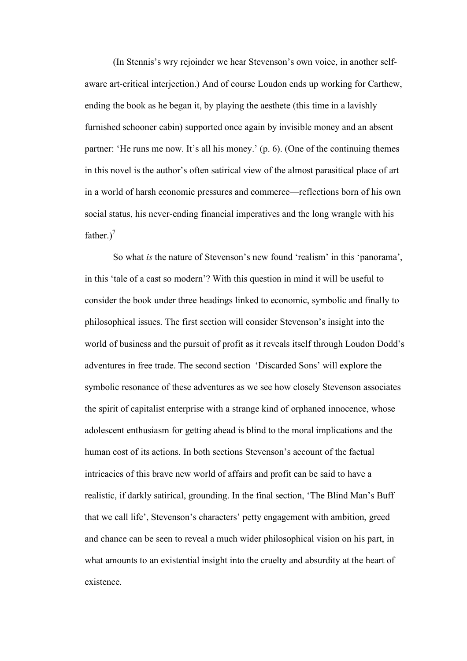(In Stennis's wry rejoinder we hear Stevenson's own voice, in another selfaware art-critical interjection.) And of course Loudon ends up working for Carthew, ending the book as he began it, by playing the aesthete (this time in a lavishly furnished schooner cabin) supported once again by invisible money and an absent partner: 'He runs me now. It's all his money.' (p. 6). (One of the continuing themes in this novel is the author's often satirical view of the almost parasitical place of art in a world of harsh economic pressures and commerce—reflections born of his own social status, his never-ending financial imperatives and the long wrangle with his father.)<sup>7</sup>

So what *is* the nature of Stevenson's new found 'realism' in this 'panorama', in this 'tale of a cast so modern'? With this question in mind it will be useful to consider the book under three headings linked to economic, symbolic and finally to philosophical issues. The first section will consider Stevenson's insight into the world of business and the pursuit of profit as it reveals itself through Loudon Dodd's adventures in free trade. The second section 'Discarded Sons' will explore the symbolic resonance of these adventures as we see how closely Stevenson associates the spirit of capitalist enterprise with a strange kind of orphaned innocence, whose adolescent enthusiasm for getting ahead is blind to the moral implications and the human cost of its actions. In both sections Stevenson's account of the factual intricacies of this brave new world of affairs and profit can be said to have a realistic, if darkly satirical, grounding. In the final section, 'The Blind Man's Buff that we call life', Stevenson's characters' petty engagement with ambition, greed and chance can be seen to reveal a much wider philosophical vision on his part, in what amounts to an existential insight into the cruelty and absurdity at the heart of existence.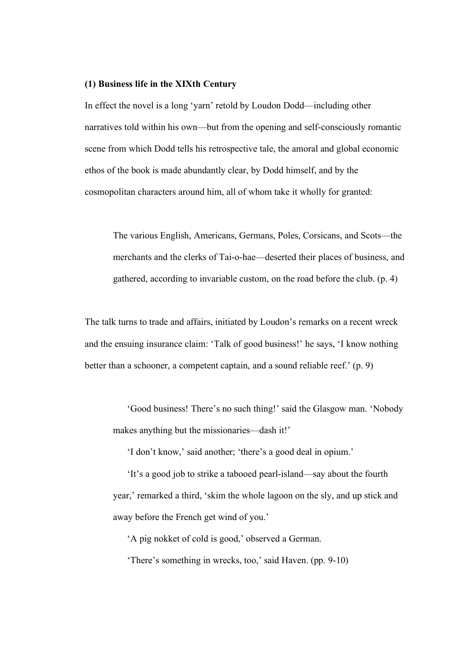#### **(1) Business life in the XIXth Century**

In effect the novel is a long 'yarn' retold by Loudon Dodd—including other narratives told within his own—but from the opening and self-consciously romantic scene from which Dodd tells his retrospective tale, the amoral and global economic ethos of the book is made abundantly clear, by Dodd himself, and by the cosmopolitan characters around him, all of whom take it wholly for granted:

The various English, Americans, Germans, Poles, Corsicans, and Scots—the merchants and the clerks of Tai-o-hae—deserted their places of business, and gathered, according to invariable custom, on the road before the club. (p. 4)

The talk turns to trade and affairs, initiated by Loudon's remarks on a recent wreck and the ensuing insurance claim: 'Talk of good business!' he says, 'I know nothing better than a schooner, a competent captain, and a sound reliable reef.' (p. 9)

'Good business! There's no such thing!' said the Glasgow man. 'Nobody makes anything but the missionaries—dash it!'

'I don't know,' said another; 'there's a good deal in opium.'

'It's a good job to strike a tabooed pearl-island—say about the fourth year,' remarked a third, 'skim the whole lagoon on the sly, and up stick and away before the French get wind of you.'

'A pig nokket of cold is good,' observed a German.

'There's something in wrecks, too,' said Haven. (pp. 9-10)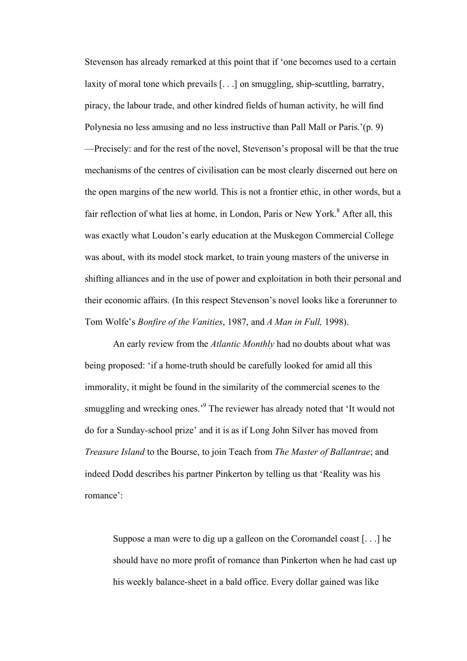Stevenson has already remarked at this point that if 'one becomes used to a certain laxity of moral tone which prevails [. . .] on smuggling, ship-scuttling, barratry, piracy, the labour trade, and other kindred fields of human activity, he will find Polynesia no less amusing and no less instructive than Pall Mall or Paris.'(p. 9) —Precisely: and for the rest of the novel, Stevenson's proposal will be that the true mechanisms of the centres of civilisation can be most clearly discerned out here on the open margins of the new world. This is not a frontier ethic, in other words, but a fair reflection of what lies at home, in London, Paris or New York.<sup>8</sup> After all, this was exactly what Loudon's early education at the Muskegon Commercial College was about, with its model stock market, to train young masters of the universe in shifting alliances and in the use of power and exploitation in both their personal and their economic affairs. (In this respect Stevenson's novel looks like a forerunner to Tom Wolfe's *Bonfire of the Vanities*, 1987, and *A Man in Full,* 1998).

An early review from the *Atlantic Monthly* had no doubts about what was being proposed: 'if a home-truth should be carefully looked for amid all this immorality, it might be found in the similarity of the commercial scenes to the smuggling and wrecking ones.<sup>'9</sup> The reviewer has already noted that 'It would not do for a Sunday-school prize' and it is as if Long John Silver has moved from *Treasure Island* to the Bourse, to join Teach from *The Master of Ballantrae*; and indeed Dodd describes his partner Pinkerton by telling us that 'Reality was his romance':

Suppose a man were to dig up a galleon on the Coromandel coast [. . .] he should have no more profit of romance than Pinkerton when he had cast up his weekly balance-sheet in a bald office. Every dollar gained was like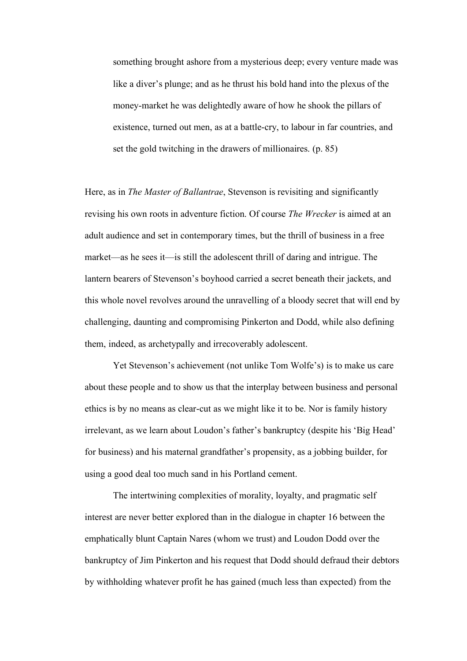something brought ashore from a mysterious deep; every venture made was like a diver's plunge; and as he thrust his bold hand into the plexus of the money-market he was delightedly aware of how he shook the pillars of existence, turned out men, as at a battle-cry, to labour in far countries, and set the gold twitching in the drawers of millionaires. (p. 85)

Here, as in *The Master of Ballantrae*, Stevenson is revisiting and significantly revising his own roots in adventure fiction. Of course *The Wrecker* is aimed at an adult audience and set in contemporary times, but the thrill of business in a free market—as he sees it—is still the adolescent thrill of daring and intrigue. The lantern bearers of Stevenson's boyhood carried a secret beneath their jackets, and this whole novel revolves around the unravelling of a bloody secret that will end by challenging, daunting and compromising Pinkerton and Dodd, while also defining them, indeed, as archetypally and irrecoverably adolescent.

Yet Stevenson's achievement (not unlike Tom Wolfe's) is to make us care about these people and to show us that the interplay between business and personal ethics is by no means as clear-cut as we might like it to be. Nor is family history irrelevant, as we learn about Loudon's father's bankruptcy (despite his 'Big Head' for business) and his maternal grandfather's propensity, as a jobbing builder, for using a good deal too much sand in his Portland cement.

The intertwining complexities of morality, loyalty, and pragmatic self interest are never better explored than in the dialogue in chapter 16 between the emphatically blunt Captain Nares (whom we trust) and Loudon Dodd over the bankruptcy of Jim Pinkerton and his request that Dodd should defraud their debtors by withholding whatever profit he has gained (much less than expected) from the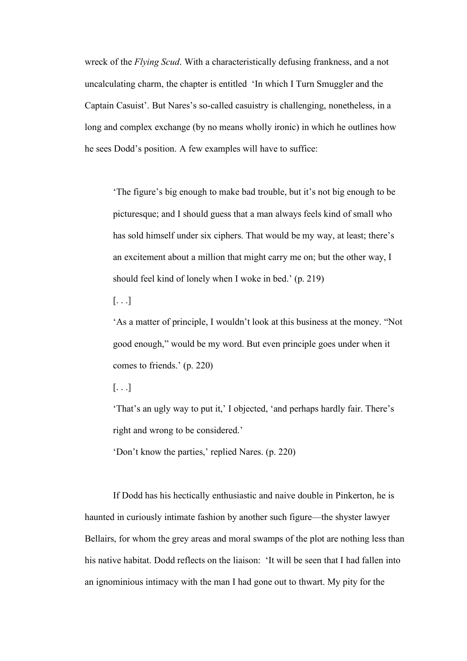wreck of the *Flying Scud*. With a characteristically defusing frankness, and a not uncalculating charm, the chapter is entitled 'In which I Turn Smuggler and the Captain Casuist'. But Nares's so-called casuistry is challenging, nonetheless, in a long and complex exchange (by no means wholly ironic) in which he outlines how he sees Dodd's position. A few examples will have to suffice:

'The figure's big enough to make bad trouble, but it's not big enough to be picturesque; and I should guess that a man always feels kind of small who has sold himself under six ciphers. That would be my way, at least; there's an excitement about a million that might carry me on; but the other way, I should feel kind of lonely when I woke in bed.' (p. 219)

 $\left[ \ldots \right]$ 

'As a matter of principle, I wouldn't look at this business at the money. "Not good enough," would be my word. But even principle goes under when it comes to friends.' (p. 220)

[. . .]

'That's an ugly way to put it,' I objected, 'and perhaps hardly fair. There's right and wrong to be considered.'

'Don't know the parties,' replied Nares. (p. 220)

If Dodd has his hectically enthusiastic and naive double in Pinkerton, he is haunted in curiously intimate fashion by another such figure—the shyster lawyer Bellairs, for whom the grey areas and moral swamps of the plot are nothing less than his native habitat. Dodd reflects on the liaison: 'It will be seen that I had fallen into an ignominious intimacy with the man I had gone out to thwart. My pity for the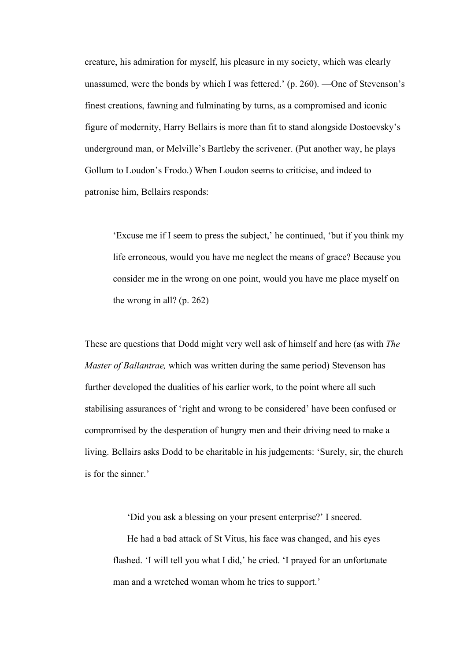creature, his admiration for myself, his pleasure in my society, which was clearly unassumed, were the bonds by which I was fettered.' (p. 260). —One of Stevenson's finest creations, fawning and fulminating by turns, as a compromised and iconic figure of modernity, Harry Bellairs is more than fit to stand alongside Dostoevsky's underground man, or Melville's Bartleby the scrivener. (Put another way, he plays Gollum to Loudon's Frodo.) When Loudon seems to criticise, and indeed to patronise him, Bellairs responds:

'Excuse me if I seem to press the subject,' he continued, 'but if you think my life erroneous, would you have me neglect the means of grace? Because you consider me in the wrong on one point, would you have me place myself on the wrong in all? (p. 262)

These are questions that Dodd might very well ask of himself and here (as with *The Master of Ballantrae,* which was written during the same period) Stevenson has further developed the dualities of his earlier work, to the point where all such stabilising assurances of 'right and wrong to be considered' have been confused or compromised by the desperation of hungry men and their driving need to make a living. Bellairs asks Dodd to be charitable in his judgements: 'Surely, sir, the church is for the sinner.'

'Did you ask a blessing on your present enterprise?' I sneered.

He had a bad attack of St Vitus, his face was changed, and his eyes flashed. 'I will tell you what I did,' he cried. 'I prayed for an unfortunate man and a wretched woman whom he tries to support.'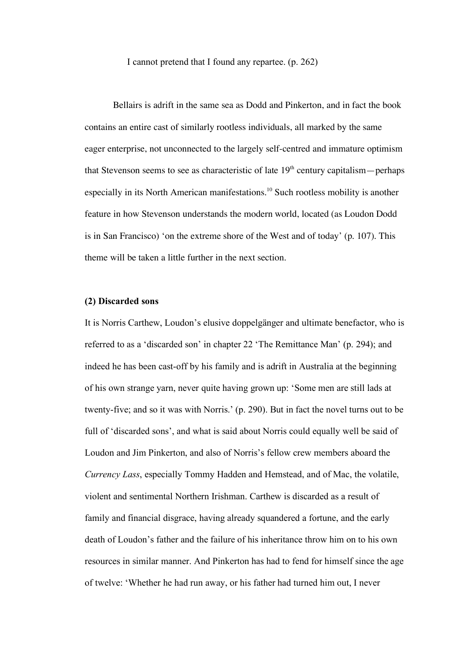I cannot pretend that I found any repartee. (p. 262)

Bellairs is adrift in the same sea as Dodd and Pinkerton, and in fact the book contains an entire cast of similarly rootless individuals, all marked by the same eager enterprise, not unconnected to the largely self-centred and immature optimism that Stevenson seems to see as characteristic of late  $19<sup>th</sup>$  century capitalism—perhaps especially in its North American manifestations.<sup>10</sup> Such rootless mobility is another feature in how Stevenson understands the modern world, located (as Loudon Dodd is in San Francisco) 'on the extreme shore of the West and of today' (p. 107). This theme will be taken a little further in the next section.

#### **(2) Discarded sons**

It is Norris Carthew, Loudon's elusive doppelgänger and ultimate benefactor, who is referred to as a 'discarded son' in chapter 22 'The Remittance Man' (p. 294); and indeed he has been cast-off by his family and is adrift in Australia at the beginning of his own strange yarn, never quite having grown up: 'Some men are still lads at twenty-five; and so it was with Norris.' (p. 290). But in fact the novel turns out to be full of 'discarded sons', and what is said about Norris could equally well be said of Loudon and Jim Pinkerton, and also of Norris's fellow crew members aboard the *Currency Lass*, especially Tommy Hadden and Hemstead, and of Mac, the volatile, violent and sentimental Northern Irishman. Carthew is discarded as a result of family and financial disgrace, having already squandered a fortune, and the early death of Loudon's father and the failure of his inheritance throw him on to his own resources in similar manner. And Pinkerton has had to fend for himself since the age of twelve: 'Whether he had run away, or his father had turned him out, I never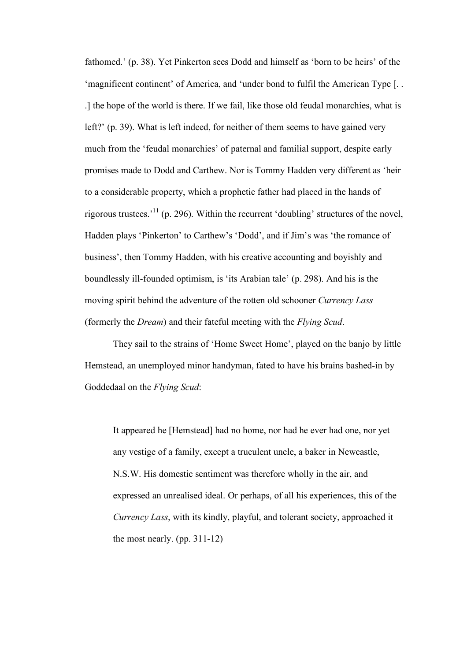fathomed.' (p. 38). Yet Pinkerton sees Dodd and himself as 'born to be heirs' of the 'magnificent continent' of America, and 'under bond to fulfil the American Type [. . .] the hope of the world is there. If we fail, like those old feudal monarchies, what is left?' (p. 39). What is left indeed, for neither of them seems to have gained very much from the 'feudal monarchies' of paternal and familial support, despite early promises made to Dodd and Carthew. Nor is Tommy Hadden very different as 'heir to a considerable property, which a prophetic father had placed in the hands of rigorous trustees.<sup>11</sup> (p. 296). Within the recurrent 'doubling' structures of the novel, Hadden plays 'Pinkerton' to Carthew's 'Dodd', and if Jim's was 'the romance of business', then Tommy Hadden, with his creative accounting and boyishly and boundlessly ill-founded optimism, is 'its Arabian tale' (p. 298). And his is the moving spirit behind the adventure of the rotten old schooner *Currency Lass* (formerly the *Dream*) and their fateful meeting with the *Flying Scud*.

They sail to the strains of 'Home Sweet Home', played on the banjo by little Hemstead, an unemployed minor handyman, fated to have his brains bashed-in by Goddedaal on the *Flying Scud*:

It appeared he [Hemstead] had no home, nor had he ever had one, nor yet any vestige of a family, except a truculent uncle, a baker in Newcastle, N.S.W. His domestic sentiment was therefore wholly in the air, and expressed an unrealised ideal. Or perhaps, of all his experiences, this of the *Currency Lass*, with its kindly, playful, and tolerant society, approached it the most nearly. (pp. 311-12)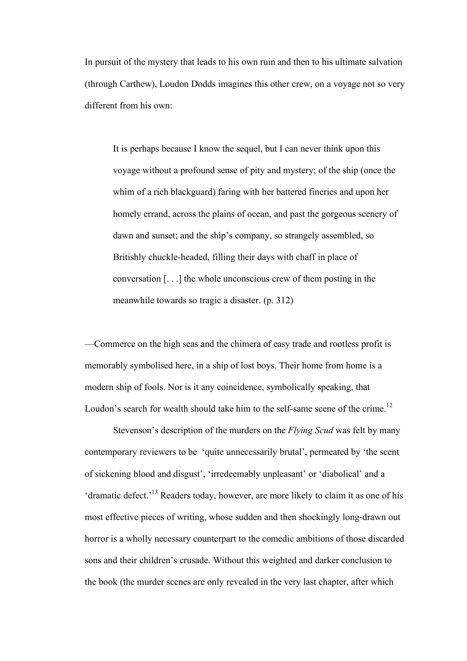In pursuit of the mystery that leads to his own ruin and then to his ultimate salvation (through Carthew), Loudon Dodds imagines this other crew, on a voyage not so very different from his own:

It is perhaps because I know the sequel, but I can never think upon this voyage without a profound sense of pity and mystery; of the ship (once the whim of a rich blackguard) faring with her battered fineries and upon her homely errand, across the plains of ocean, and past the gorgeous scenery of dawn and sunset; and the ship's company, so strangely assembled, so Britishly chuckle-headed, filling their days with chaff in place of conversation [. . .] the whole unconscious crew of them posting in the meanwhile towards so tragic a disaster. (p. 312)

—Commerce on the high seas and the chimera of easy trade and rootless profit is memorably symbolised here, in a ship of lost boys. Their home from home is a modern ship of fools. Nor is it any coincidence, symbolically speaking, that Loudon's search for wealth should take him to the self-same scene of the crime.<sup>12</sup>

Stevenson's description of the murders on the *Flying Scud* was felt by many contemporary reviewers to be 'quite unnecessarily brutal', permeated by 'the scent of sickening blood and disgust', 'irredeemably unpleasant' or 'diabolical' and a 'dramatic defect.<sup>13</sup> Readers today, however, are more likely to claim it as one of his most effective pieces of writing, whose sudden and then shockingly long-drawn out horror is a wholly necessary counterpart to the comedic ambitions of those discarded sons and their children's crusade. Without this weighted and darker conclusion to the book (the murder scenes are only revealed in the very last chapter, after which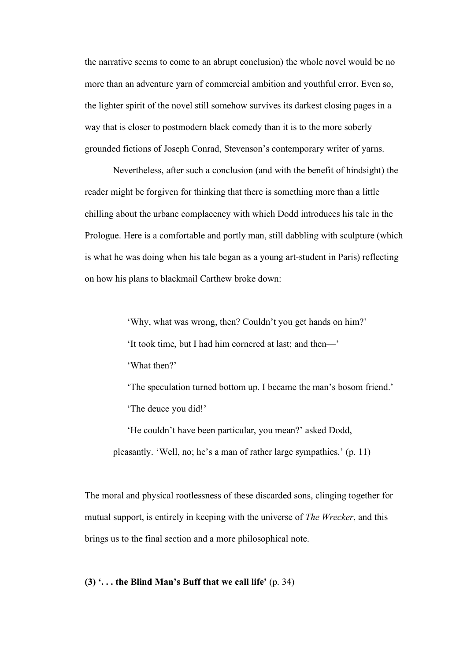the narrative seems to come to an abrupt conclusion) the whole novel would be no more than an adventure yarn of commercial ambition and youthful error. Even so, the lighter spirit of the novel still somehow survives its darkest closing pages in a way that is closer to postmodern black comedy than it is to the more soberly grounded fictions of Joseph Conrad, Stevenson's contemporary writer of yarns.

Nevertheless, after such a conclusion (and with the benefit of hindsight) the reader might be forgiven for thinking that there is something more than a little chilling about the urbane complacency with which Dodd introduces his tale in the Prologue. Here is a comfortable and portly man, still dabbling with sculpture (which is what he was doing when his tale began as a young art-student in Paris) reflecting on how his plans to blackmail Carthew broke down:

> 'Why, what was wrong, then? Couldn't you get hands on him?' 'It took time, but I had him cornered at last; and then—' 'What then?'

'The speculation turned bottom up. I became the man's bosom friend.' 'The deuce you did!'

'He couldn't have been particular, you mean?' asked Dodd, pleasantly. 'Well, no; he's a man of rather large sympathies.' (p. 11)

The moral and physical rootlessness of these discarded sons, clinging together for mutual support, is entirely in keeping with the universe of *The Wrecker*, and this brings us to the final section and a more philosophical note.

#### **(3) '. . . the Blind Man's Buff that we call life'** (p. 34)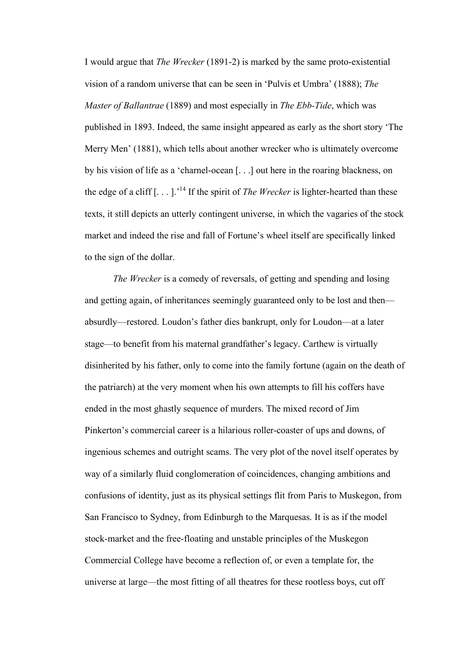I would argue that *The Wrecker* (1891-2) is marked by the same proto-existential vision of a random universe that can be seen in 'Pulvis et Umbra' (1888); *The Master of Ballantrae* (1889) and most especially in *The Ebb-Tide*, which was published in 1893. Indeed, the same insight appeared as early as the short story 'The Merry Men' (1881), which tells about another wrecker who is ultimately overcome by his vision of life as a 'charnel-ocean [. . .] out here in the roaring blackness, on the edge of a cliff  $\left[ \ldots \right]$ .<sup>'14</sup> If the spirit of *The Wrecker* is lighter-hearted than these texts, it still depicts an utterly contingent universe, in which the vagaries of the stock market and indeed the rise and fall of Fortune's wheel itself are specifically linked to the sign of the dollar.

*The Wrecker* is a comedy of reversals, of getting and spending and losing and getting again, of inheritances seemingly guaranteed only to be lost and then absurdly—restored. Loudon's father dies bankrupt, only for Loudon—at a later stage—to benefit from his maternal grandfather's legacy. Carthew is virtually disinherited by his father, only to come into the family fortune (again on the death of the patriarch) at the very moment when his own attempts to fill his coffers have ended in the most ghastly sequence of murders. The mixed record of Jim Pinkerton's commercial career is a hilarious roller-coaster of ups and downs, of ingenious schemes and outright scams. The very plot of the novel itself operates by way of a similarly fluid conglomeration of coincidences, changing ambitions and confusions of identity, just as its physical settings flit from Paris to Muskegon, from San Francisco to Sydney, from Edinburgh to the Marquesas. It is as if the model stock-market and the free-floating and unstable principles of the Muskegon Commercial College have become a reflection of, or even a template for, the universe at large—the most fitting of all theatres for these rootless boys, cut off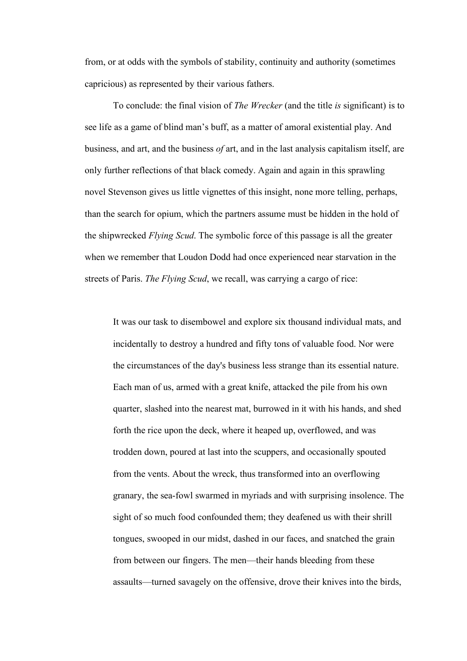from, or at odds with the symbols of stability, continuity and authority (sometimes capricious) as represented by their various fathers.

To conclude: the final vision of *The Wrecker* (and the title *is* significant) is to see life as a game of blind man's buff, as a matter of amoral existential play. And business, and art, and the business *of* art, and in the last analysis capitalism itself, are only further reflections of that black comedy. Again and again in this sprawling novel Stevenson gives us little vignettes of this insight, none more telling, perhaps, than the search for opium, which the partners assume must be hidden in the hold of the shipwrecked *Flying Scud*. The symbolic force of this passage is all the greater when we remember that Loudon Dodd had once experienced near starvation in the streets of Paris. *The Flying Scud*, we recall, was carrying a cargo of rice:

It was our task to disembowel and explore six thousand individual mats, and incidentally to destroy a hundred and fifty tons of valuable food. Nor were the circumstances of the day's business less strange than its essential nature. Each man of us, armed with a great knife, attacked the pile from his own quarter, slashed into the nearest mat, burrowed in it with his hands, and shed forth the rice upon the deck, where it heaped up, overflowed, and was trodden down, poured at last into the scuppers, and occasionally spouted from the vents. About the wreck, thus transformed into an overflowing granary, the sea-fowl swarmed in myriads and with surprising insolence. The sight of so much food confounded them; they deafened us with their shrill tongues, swooped in our midst, dashed in our faces, and snatched the grain from between our fingers. The men—their hands bleeding from these assaults—turned savagely on the offensive, drove their knives into the birds,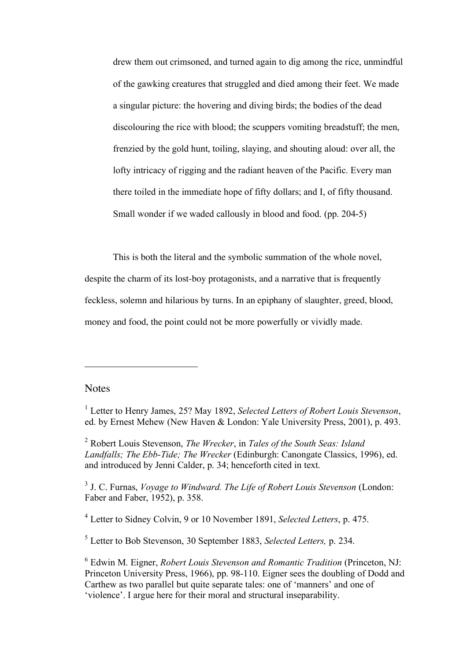drew them out crimsoned, and turned again to dig among the rice, unmindful of the gawking creatures that struggled and died among their feet. We made a singular picture: the hovering and diving birds; the bodies of the dead discolouring the rice with blood; the scuppers vomiting breadstuff; the men, frenzied by the gold hunt, toiling, slaying, and shouting aloud: over all, the lofty intricacy of rigging and the radiant heaven of the Pacific. Every man there toiled in the immediate hope of fifty dollars; and I, of fifty thousand. Small wonder if we waded callously in blood and food. (pp. 204-5)

This is both the literal and the symbolic summation of the whole novel, despite the charm of its lost-boy protagonists, and a narrative that is frequently feckless, solemn and hilarious by turns. In an epiphany of slaughter, greed, blood, money and food, the point could not be more powerfully or vividly made.

### **Notes**

 $\overline{a}$ 

<sup>2</sup> Robert Louis Stevenson, *The Wrecker*, in *Tales of the South Seas: Island Landfalls; The Ebb-Tide; The Wrecker* (Edinburgh: Canongate Classics, 1996), ed. and introduced by Jenni Calder, p. 34; henceforth cited in text.

<sup>3</sup> J. C. Furnas, *Voyage to Windward. The Life of Robert Louis Stevenson* (London: Faber and Faber, 1952), p. 358.

<sup>4</sup> Letter to Sidney Colvin, 9 or 10 November 1891, *Selected Letters*, p. 475.

<sup>5</sup> Letter to Bob Stevenson, 30 September 1883, *Selected Letters,* p. 234.

<sup>6</sup> Edwin M. Eigner, *Robert Louis Stevenson and Romantic Tradition* (Princeton, NJ: Princeton University Press, 1966), pp. 98-110. Eigner sees the doubling of Dodd and Carthew as two parallel but quite separate tales: one of 'manners' and one of 'violence'. I argue here for their moral and structural inseparability.

<sup>1</sup> Letter to Henry James, 25? May 1892, *Selected Letters of Robert Louis Stevenson*, ed. by Ernest Mehew (New Haven & London: Yale University Press, 2001), p. 493.